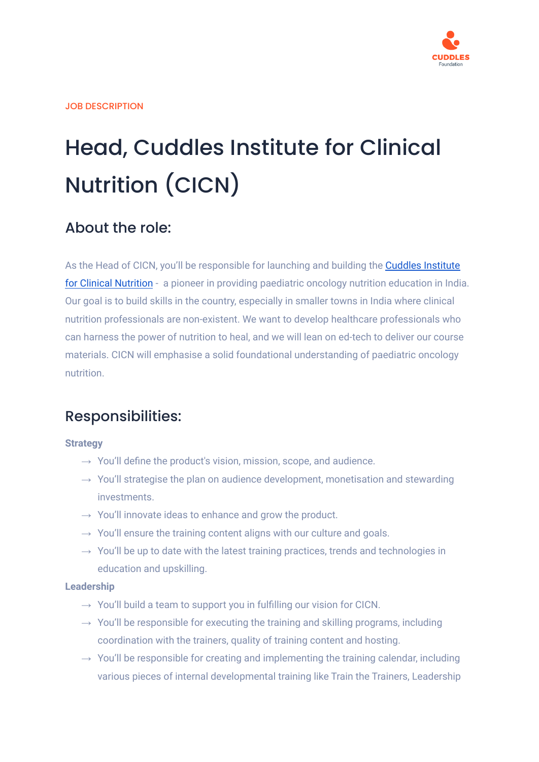

# Head, Cuddles Institute for Clinical Nutrition (CICN)

## About the role:

As the Head of CICN, you'll be responsible for launching and building the Cuddles [Institute](https://www.cuddles.institute/) for Clinical [Nutrition](https://www.cuddles.institute/) - a pioneer in providing paediatric oncology nutrition education in India. Our goal is to build skills in the country, especially in smaller towns in India where clinical nutrition professionals are non-existent. We want to develop healthcare professionals who can harness the power of nutrition to heal, and we will lean on ed-tech to deliver our course materials. CICN will emphasise a solid foundational understanding of paediatric oncology nutrition.

## Responsibilities:

## **Strategy**

- $\rightarrow$  You'll define the product's vision, mission, scope, and audience.
- $\rightarrow$  You'll strategise the plan on audience development, monetisation and stewarding investments.
- $\rightarrow$  You'll innovate ideas to enhance and grow the product.
- $\rightarrow$  You'll ensure the training content aligns with our culture and goals.
- $\rightarrow$  You'll be up to date with the latest training practices, trends and technologies in education and upskilling.

#### **Leadership**

- $\rightarrow$  You'll build a team to support you in fulfilling our vision for CICN.
- $\rightarrow$  You'll be responsible for executing the training and skilling programs, including coordination with the trainers, quality of training content and hosting.
- $\rightarrow$  You'll be responsible for creating and implementing the training calendar, including various pieces of internal developmental training like Train the Trainers, Leadership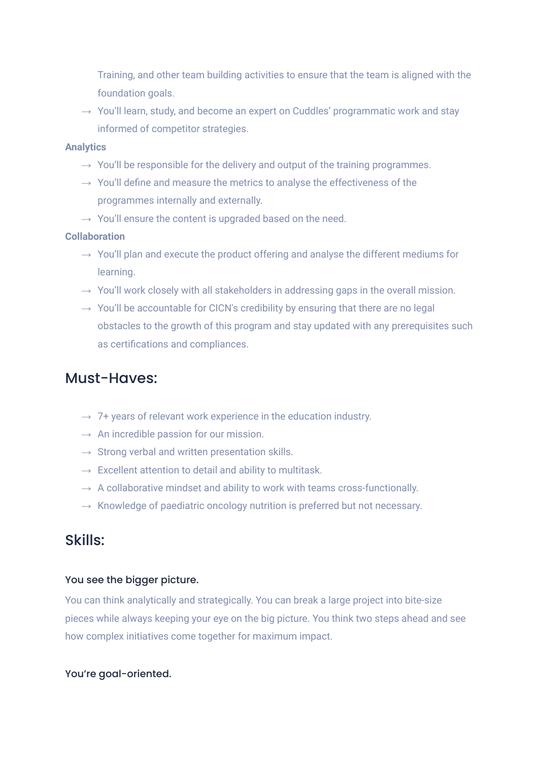Training, and other team building activities to ensure that the team is aligned with the foundation goals.

 $\rightarrow$  You'll learn, study, and become an expert on Cuddles' programmatic work and stay informed of competitor strategies.

#### **Analytics**

- $\rightarrow$  You'll be responsible for the delivery and output of the training programmes.
- $\rightarrow$  You'll define and measure the metrics to analyse the effectiveness of the programmes internally and externally.
- $\rightarrow$  You'll ensure the content is upgraded based on the need.

## **Collaboration**

- $\rightarrow$  You'll plan and execute the product offering and analyse the different mediums for learning.
- $\rightarrow$  You'll work closely with all stakeholders in addressing gaps in the overall mission.
- $\rightarrow$  You'll be accountable for CICN's credibility by ensuring that there are no legal obstacles to the growth of this program and stay updated with any prerequisites such as certifications and compliances.

## Must-Haves:

- $\rightarrow$  7+ years of relevant work experience in the education industry.
- $\rightarrow$  An incredible passion for our mission.
- $\rightarrow$  Strong verbal and written presentation skills.
- $\rightarrow$  Excellent attention to detail and ability to multitask.
- $\rightarrow$  A collaborative mindset and ability to work with teams cross-functionally.
- $\rightarrow$  Knowledge of paediatric oncology nutrition is preferred but not necessary.

## Skills:

## You see the bigger picture.

You can think analytically and strategically. You can break a large project into bite-size pieces while always keeping your eye on the big picture. You think two steps ahead and see how complex initiatives come together for maximum impact.

## You're goal-oriented.